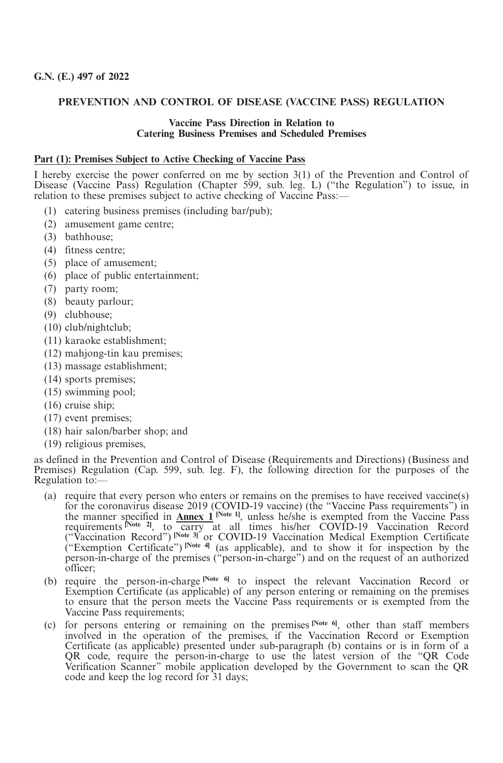## **PREVENTION AND CONTROL OF DISEASE (VACCINE PASS) REGULATION**

#### **Vaccine Pass Direction in Relation to Catering Business Premises and Scheduled Premises**

#### **Part (1): Premises Subject to Active Checking of Vaccine Pass**

I hereby exercise the power conferred on me by section 3(1) of the Prevention and Control of Disease (Vaccine Pass) Regulation (Chapter 599, sub. leg. L) ("the Regulation") to issue, in relation to these premises subject to active checking of Vaccine Pass:—

- (1) catering business premises (including bar/pub);
- (2) amusement game centre;
- (3) bathhouse;
- (4) fitness centre;
- (5) place of amusement;
- (6) place of public entertainment;
- (7) party room;
- (8) beauty parlour;
- (9) clubhouse;
- (10) club/nightclub;
- (11) karaoke establishment;
- (12) mahjong-tin kau premises;
- (13) massage establishment;
- (14) sports premises;
- (15) swimming pool;
- (16) cruise ship;
- (17) event premises;
- (18) hair salon/barber shop; and
- (19) religious premises,

as defined in the Prevention and Control of Disease (Requirements and Directions) (Business and Premises) Regulation (Cap. 599, sub. leg. F), the following direction for the purposes of the Regulation to:—

- (a) require that every person who enters or remains on the premises to have received vaccine(s) for the coronavirus disease 2019 (COVID-19 vaccine) (the "Vaccine Pass requirements") in the manner specified in **Annex 1 [Note 1]**, unless he/she is exempted from the Vaccine Pass requirements Note 21, to carry at all times his/her COVID-19 Vaccination Record ("Vaccination Record") **[Note 3]** or COVID-19 Vaccination Medical Exemption Certificate ("Exemption Certificate") **[Note 4]** (as applicable), and to show it for inspection by the person-in-charge of the premises ("person-in-charge") and on the request of an authorized officer;
- (b) require the person-in-charge **[Note 6]** to inspect the relevant Vaccination Record or Exemption Certificate (as applicable) of any person entering or remaining on the premises to ensure that the person meets the Vaccine Pass requirements or is exempted from the Vaccine Pass requirements;
- (c) for persons entering or remaining on the premises **[Note 6]**, other than staff members involved in the operation of the premises, if the Vaccination Record or Exemption Certificate (as applicable) presented under sub-paragraph (b) contains or is in form of a QR code, require the person-in-charge to use the latest version of the "QR Code Verification Scanner" mobile application developed by the Government to scan the QR code and keep the log record for 31 days;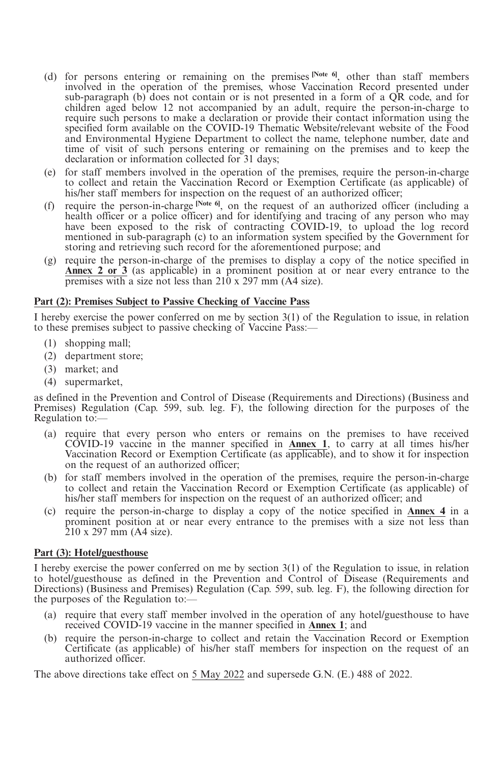- (d) for persons entering or remaining on the premises **[Note 6]**, other than staff members involved in the operation of the premises, whose Vaccination Record presented under sub-paragraph (b) does not contain or is not presented in a form of a  $\overrightarrow{QR}$  code, and for children aged below 12 not accompanied by an adult, require the person-in-charge to require such persons to make a declaration or provide their contact information using the specified form available on the COVID-19 Thematic Website/relevant website of the Food and Environmental Hygiene Department to collect the name, telephone number, date and time of visit of such persons entering or remaining on the premises and to keep the declaration or information collected for 31 days;
- (e) for staff members involved in the operation of the premises, require the person-in-charge to collect and retain the Vaccination Record or Exemption Certificate (as applicable) of his/her staff members for inspection on the request of an authorized officer;
- (f) require the person-in-charge **[Note 6]**, on the request of an authorized officer (including a health officer or a police officer) and for identifying and tracing of any person who may have been exposed to the risk of contracting COVID-19, to upload the log record mentioned in sub-paragraph (c) to an information system specified by the Government for storing and retrieving such record for the aforementioned purpose; and
- (g) require the person-in-charge of the premises to display a copy of the notice specified in **Annex 2 or 3** (as applicable) in a prominent position at or near every entrance to the premises with a size not less than 210 x 297 mm (A4 size).

## **Part (2): Premises Subject to Passive Checking of Vaccine Pass**

I hereby exercise the power conferred on me by section 3(1) of the Regulation to issue, in relation to these premises subject to passive checking of Vaccine Pass:—

- (1) shopping mall;
- (2) department store;
- (3) market; and
- (4) supermarket,

as defined in the Prevention and Control of Disease (Requirements and Directions) (Business and Premises) Regulation (Cap. 599, sub. leg. F), the following direction for the purposes of the Regulation to:—

- (a) require that every person who enters or remains on the premises to have received COVID-19 vaccine in the manner specified in **Annex 1**, to carry at all times his/her Vaccination Record or Exemption Certificate (as applicable), and to show it for inspection on the request of an authorized officer;
- (b) for staff members involved in the operation of the premises, require the person-in-charge to collect and retain the Vaccination Record or Exemption Certificate (as applicable) of his/her staff members for inspection on the request of an authorized officer; and
- (c) require the person-in-charge to display a copy of the notice specified in **Annex 4** in a prominent position at or near every entrance to the premises with a size not less than 210 x 297 mm (A4 size).

## **Part (3): Hotel/guesthouse**

I hereby exercise the power conferred on me by section 3(1) of the Regulation to issue, in relation to hotel/guesthouse as defined in the Prevention and Control of Disease (Requirements and Directions) (Business and Premises) Regulation (Cap. 599, sub. leg. F), the following direction for the purposes of the Regulation to:—

- (a) require that every staff member involved in the operation of any hotel/guesthouse to have received COVID-19 vaccine in the manner specified in **Annex 1**; and
- (b) require the person-in-charge to collect and retain the Vaccination Record or Exemption Certificate (as applicable) of his/her staff members for inspection on the request of an authorized officer.

The above directions take effect on 5 May 2022 and supersede G.N. (E.) 488 of 2022.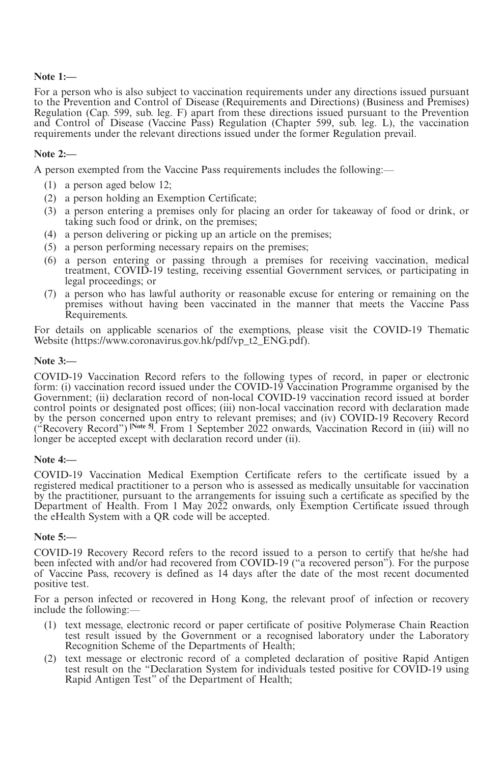## **Note 1:—**

For a person who is also subject to vaccination requirements under any directions issued pursuant to the Prevention and Control of Disease (Requirements and Directions) (Business and Premises) Regulation (Cap. 599, sub. leg. F) apart from these directions issued pursuant to the Prevention and Control of Disease (Vaccine Pass) Regulation (Chapter 599, sub. leg. L), the vaccination requirements under the relevant directions issued under the former Regulation prevail.

## **Note 2:—**

A person exempted from the Vaccine Pass requirements includes the following:—

- (1) a person aged below 12;
- (2) a person holding an Exemption Certificate;
- (3) a person entering a premises only for placing an order for takeaway of food or drink, or taking such food or drink, on the premises;
- (4) a person delivering or picking up an article on the premises;
- (5) a person performing necessary repairs on the premises;
- (6) a person entering or passing through a premises for receiving vaccination, medical treatment, COVID-19 testing, receiving essential Government services, or participating in legal proceedings; or
- (7) a person who has lawful authority or reasonable excuse for entering or remaining on the premises without having been vaccinated in the manner that meets the Vaccine Pass Requirements.

For details on applicable scenarios of the exemptions, please visit the COVID-19 Thematic Website (https://www.coronavirus.gov.hk/pdf/vp\_t2\_ENG.pdf).

### **Note 3:—**

COVID-19 Vaccination Record refers to the following types of record, in paper or electronic form: (i) vaccination record issued under the COVID-19 Vaccination Programme organised by the Government; (ii) declaration record of non-local COVID-19 vaccination record issued at border control points or designated post offices; (iii) non-local vaccination record with declaration made by the person concerned upon entry to relevant premises; and (iv) COVID-19 Recovery Record ("Recovery Record") <sup>[Note 5]</sup>. From 1 September 2022 onwards, Vaccination Record in (iii) will no longer be accepted except with declaration record under (ii).

### **Note 4:—**

COVID-19 Vaccination Medical Exemption Certificate refers to the certificate issued by a registered medical practitioner to a person who is assessed as medically unsuitable for vaccination by the practitioner, pursuant to the arrangements for issuing such a certificate as specified by the Department of Health. From 1 May 2022 onwards, only Exemption Certificate issued through the eHealth System with a QR code will be accepted.

## **Note 5:—**

COVID-19 Recovery Record refers to the record issued to a person to certify that he/she had been infected with and/or had recovered from COVID-19 ("a recovered person"). For the purpose of Vaccine Pass, recovery is defined as 14 days after the date of the most recent documented positive test.

For a person infected or recovered in Hong Kong, the relevant proof of infection or recovery include the following:—

- (1) text message, electronic record or paper certificate of positive Polymerase Chain Reaction test result issued by the Government or a recognised laboratory under the Laboratory Recognition Scheme of the Departments of Health;
- (2) text message or electronic record of a completed declaration of positive Rapid Antigen test result on the "Declaration System for individuals tested positive for COVID-19 using Rapid Antigen Test" of the Department of Health;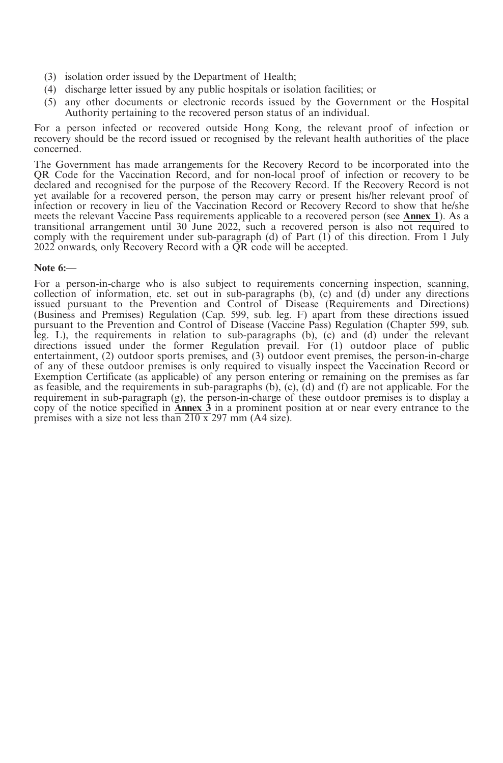- (3) isolation order issued by the Department of Health;
- (4) discharge letter issued by any public hospitals or isolation facilities; or
- (5) any other documents or electronic records issued by the Government or the Hospital Authority pertaining to the recovered person status of an individual.

For a person infected or recovered outside Hong Kong, the relevant proof of infection or recovery should be the record issued or recognised by the relevant health authorities of the place concerned.

The Government has made arrangements for the Recovery Record to be incorporated into the QR Code for the Vaccination Record, and for non-local proof of infection or recovery to be declared and recognised for the purpose of the Recovery Record. If the Recovery Record is not yet available for a recovered person, the person may carry or present his/her relevant proof of infection or recovery in lieu of the Vaccination Record or Recovery Record to show that he/she meets the relevant Vaccine Pass requirements applicable to a recovered person (see **Annex 1**). As a transitional arrangement until 30 June 2022, such a recovered person is also not required to comply with the requirement under sub-paragraph (d) of Part  $(1)$  of this direction. From 1 July  $2022$  onwards, only Recovery Record with a  $\overline{QR}$  code will be accepted.

## **Note 6:—**

For a person-in-charge who is also subject to requirements concerning inspection, scanning, collection of information, etc. set out in sub-paragraphs (b), (c) and (d) under any directions issued pursuant to the Prevention and Control of Disease (Requirements and Directions) (Business and Premises) Regulation (Cap. 599, sub. leg. F) apart from these directions issued pursuant to the Prevention and Control of Disease (Vaccine Pass) Regulation (Chapter 599, sub. leg. L), the requirements in relation to sub-paragraphs (b), (c) and (d) under the relevant directions issued under the former Regulation prevail. For (1) outdoor place of public entertainment, (2) outdoor sports premises, and (3) outdoor event premises, the person-in-charge of any of these outdoor premises is only required to visually inspect the Vaccination Record or Exemption Certificate (as applicable) of any person entering or remaining on the premises as far as feasible, and the requirements in sub-paragraphs (b), (c), (d) and (f) are not applicable. For the requirement in sub-paragraph (g), the person-in-charge of these outdoor premises is to display a copy of the notice specified in **Annex 3** in a prominent position at or near every entrance to the premises with a size not less than  $\frac{210 \times 297}{2}$  mm (A4 size).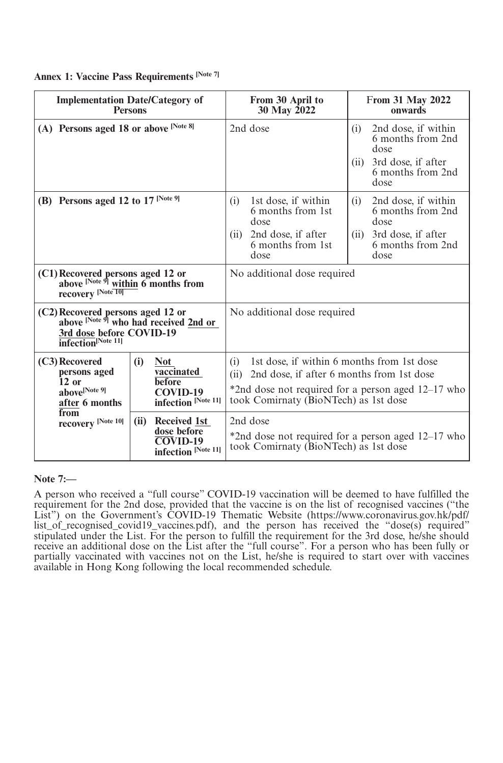|  |  |  |  | Annex 1: Vaccine Pass Requirements [Note 7] |  |
|--|--|--|--|---------------------------------------------|--|
|--|--|--|--|---------------------------------------------|--|

| <b>Implementation Date/Category of</b><br><b>Persons</b>                                                                                                                |      |                                                                                     |                                                                                                                                                                                                       | From 30 April to<br>30 May 2022                                                                         |             | <b>From 31 May 2022</b><br>onwards                                                                  |  |  |
|-------------------------------------------------------------------------------------------------------------------------------------------------------------------------|------|-------------------------------------------------------------------------------------|-------------------------------------------------------------------------------------------------------------------------------------------------------------------------------------------------------|---------------------------------------------------------------------------------------------------------|-------------|-----------------------------------------------------------------------------------------------------|--|--|
| (A) Persons aged 18 or above [Note 8]                                                                                                                                   |      |                                                                                     |                                                                                                                                                                                                       | 2nd dose                                                                                                | (i)<br>(ii) | 2nd dose, if within<br>6 months from 2nd<br>dose<br>3rd dose, if after<br>6 months from 2nd<br>dose |  |  |
| (B) Persons aged 12 to 17 [Note 9]                                                                                                                                      |      |                                                                                     |                                                                                                                                                                                                       | 1st dose, if within<br>6 months from 1st<br>dose<br>2nd dose, if after<br>6 months from 1st<br>dose     | (i)<br>(ii) | 2nd dose, if within<br>6 months from 2nd<br>dose<br>3rd dose, if after<br>6 months from 2nd<br>dose |  |  |
| (C1) Recovered persons aged 12 or<br>above $\frac{N \text{ of } q_1}{N \text{ of } q_2}$ within 6 months from<br>recovery $\frac{N \text{ of } q_1}{N \text{ of } q_2}$ |      |                                                                                     |                                                                                                                                                                                                       | No additional dose required                                                                             |             |                                                                                                     |  |  |
| (C2) Recovered persons aged 12 or<br>above $\frac{[Note 9]}{[Note 9]}$ who had received 2nd or<br>3rd dose before COVID-19<br>infection <sup>[Note 11]</sup>            |      |                                                                                     |                                                                                                                                                                                                       | No additional dose required                                                                             |             |                                                                                                     |  |  |
| (C3) Recovered<br>persons aged<br>$12$ or<br>above <sup>[Note 9]</sup><br>after 6 months                                                                                | (i)  | <b>Not</b><br>vaccinated<br>before<br>COVID-19<br>infection [Note 11]               | 1st dose, if within 6 months from 1st dose<br>(i)<br>2nd dose, if after 6 months from 1st dose<br>(ii)<br>*2nd dose not required for a person aged 12–17 who<br>took Comirnaty (BioNTech) as 1st dose |                                                                                                         |             |                                                                                                     |  |  |
| from<br>recovery [Note 10]                                                                                                                                              | (ii) | Received 1st<br>dose before<br>$\overline{\text{COV}}$ ID-19<br>infection [Note 11] |                                                                                                                                                                                                       | 2nd dose<br>*2nd dose not required for a person aged 12–17 who<br>took Comirnaty (BioNTech) as 1st dose |             |                                                                                                     |  |  |

**Note 7:—**

A person who received a "full course" COVID-19 vaccination will be deemed to have fulfilled the requirement for the 2nd dose, provided that the vaccine is on the list of recognised vaccines ("the List") on the Government's COVID-19 Thematic Website (https://www.coronavirus.gov.hk/pdf/ list\_of\_recognised\_covid19\_vaccines.pdf), and the person has received the "dose(s) required" stipulated under the List. For the person to fulfill the requirement for the 3rd dose, he/she should receive an additional dose on the List after the "full course". For a person who has been fully or partially vaccinated with vaccines not on the List, he/she is required to start over with vaccines available in Hong Kong following the local recommended schedule.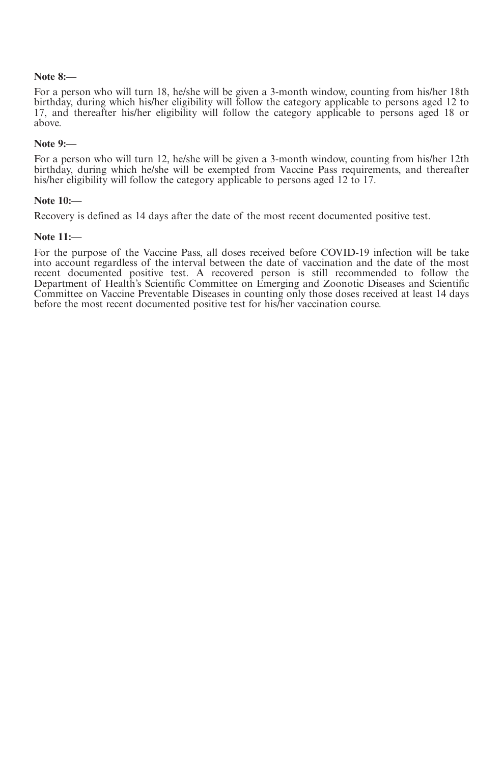#### **Note 8:—**

For a person who will turn 18, he/she will be given a 3-month window, counting from his/her 18th birthday, during which his/her eligibility will follow the category applicable to persons aged 12 to 17, and thereafter his/her eligibility will follow the category applicable to persons aged 18 or above.

#### **Note 9:—**

For a person who will turn 12, he/she will be given a 3-month window, counting from his/her 12th birthday, during which he/she will be exempted from Vaccine Pass requirements, and thereafter his/her eligibility will follow the category applicable to persons aged 12 to 17.

#### **Note 10:—**

Recovery is defined as 14 days after the date of the most recent documented positive test.

#### **Note 11:—**

For the purpose of the Vaccine Pass, all doses received before COVID-19 infection will be take into account regardless of the interval between the date of vaccination and the date of the most recent documented positive test. A recovered person is still recommended to follow the Department of Health's Scientific Committee on Emerging and Zoonotic Diseases and Scientific Committee on Vaccine Preventable Diseases in counting only those doses received at least 14 days before the most recent documented positive test for his/her vaccination course.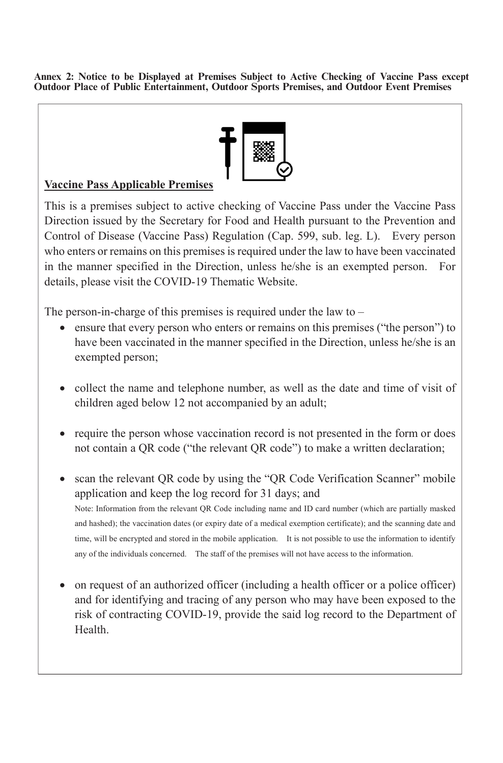Annex 2: Notice to be Displayed at Premises Subject to Active Checking of Vaccine Pass except **Outdoor Place of Public Entertainment, Outdoor Sports Premises, and Outdoor Event Premises**



## Vaccine Pass Applicable Premises

This is a premises subject to active checking of Vaccine Pass under the Vaccine Pass Direction issued by the Secretary for Food and Health pursuant to the Prevention and Control of Disease (Vaccine Pass) Regulation (Cap. 599, sub. leg. L). Every person who enters or remains on this premises is required under the law to have been vaccinated in the manner specified in the Direction, unless he/she is an exempted person. For details, please visit the COVID-19 Thematic Website.

The person-in-charge of this premises is required under the law to  $-$ 

- ensure that every person who enters or remains on this premises ("the person") to have been vaccinated in the manner specified in the Direction, unless he/she is an exempted person;
- collect the name and telephone number, as well as the date and time of visit of children aged below 12 not accompanied by an adult;
- require the person whose vaccination record is not presented in the form or does not contain a QR code ("the relevant QR code") to make a written declaration;
- scan the relevant QR code by using the "QR Code Verification Scanner" mobile application and keep the log record for 31 days; and Note: Information from the relevant QR Code including name and ID card number (which are partially masked and hashed); the vaccination dates (or expiry date of a medical exemption certificate); and the scanning date and time, will be encrypted and stored in the mobile application. It is not possible to use the information to identify any of the individuals concerned. The staff of the premises will not have access to the information.
- Health. on request of an authorized officer (including a health officer or a police officer) and for identifying and tracing of any person who may have been exposed to the risk of contracting COVID-19, provide the said log record to the Department of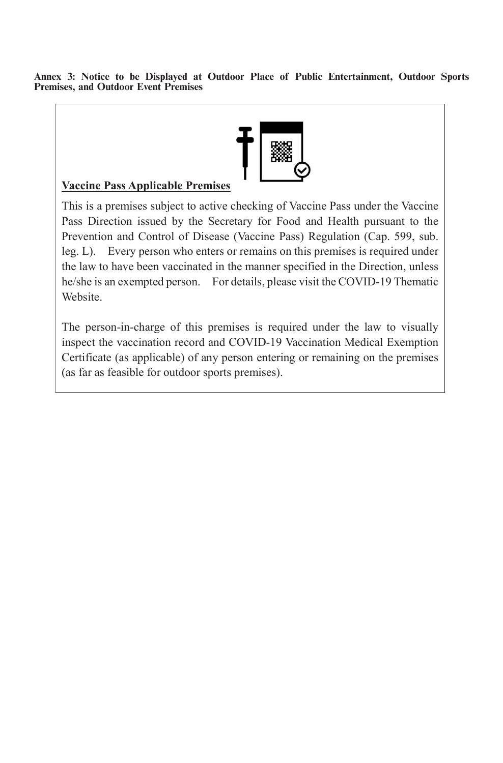Annex 3: Notice to be Displayed at Outdoor Place of Public Entertainment, Outdoor Sports<br>Premises, and Outdoor Event Premises



## Vaccine Pass Applicable Premises

This is a premises subject to active checking of Vaccine Pass under the Vaccine Pass Direction issued by the Secretary for Food and Health pursuant to the Prevention and Control of Disease (Vaccine Pass) Regulation (Cap. 599, sub. leg. L). Every person who enters or remains on this premises is required under the law to have been vaccinated in the manner specified in the Direction, unless he/she is an exempted person. For details, please visit the COVID-19 Thematic **Website** 

The person-in-charge of this premises is required under the law to visually inspect the vaccination record and COVID-19 Vaccination Medical Exemption Certificate (as applicable) of any person entering or remaining on the premises (as far as feasible for outdoor sports premises).